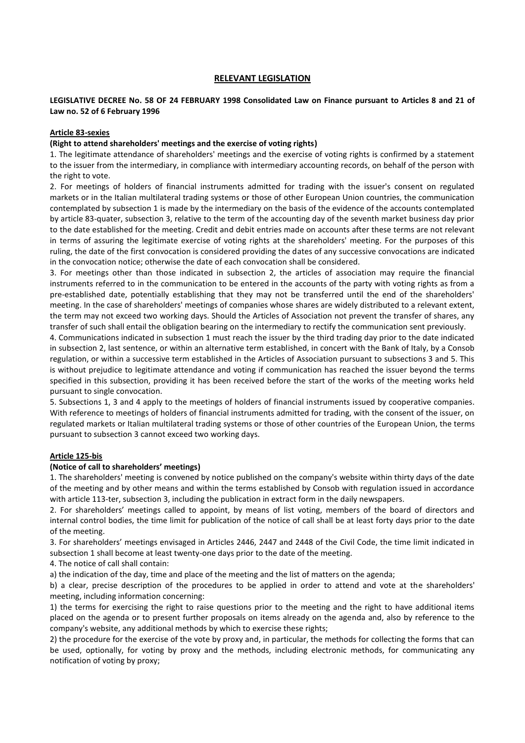## **RELEVANT LEGISLATION**

## **LEGISLATIVE DECREE No. 58 OF 24 FEBRUARY 1998 Consolidated Law on Finance pursuant to Articles 8 and 21 of Law no. 52 of 6 February 1996**

#### **Article 83-sexies**

#### **(Right to attend shareholders' meetings and the exercise of voting rights)**

1. The legitimate attendance of shareholders' meetings and the exercise of voting rights is confirmed by a statement to the issuer from the intermediary, in compliance with intermediary accounting records, on behalf of the person with the right to vote.

2. For meetings of holders of financial instruments admitted for trading with the issuer's consent on regulated markets or in the Italian multilateral trading systems or those of other European Union countries, the communication contemplated by subsection 1 is made by the intermediary on the basis of the evidence of the accounts contemplated by article 83-quater, subsection 3, relative to the term of the accounting day of the seventh market business day prior to the date established for the meeting. Credit and debit entries made on accounts after these terms are not relevant in terms of assuring the legitimate exercise of voting rights at the shareholders' meeting. For the purposes of this ruling, the date of the first convocation is considered providing the dates of any successive convocations are indicated in the convocation notice; otherwise the date of each convocation shall be considered.

3. For meetings other than those indicated in subsection 2, the articles of association may require the financial instruments referred to in the communication to be entered in the accounts of the party with voting rights as from a pre-established date, potentially establishing that they may not be transferred until the end of the shareholders' meeting. In the case of shareholders' meetings of companies whose shares are widely distributed to a relevant extent, the term may not exceed two working days. Should the Articles of Association not prevent the transfer of shares, any transfer of such shall entail the obligation bearing on the intermediary to rectify the communication sent previously.

4. Communications indicated in subsection 1 must reach the issuer by the third trading day prior to the date indicated in subsection 2, last sentence, or within an alternative term established, in concert with the Bank of Italy, by a Consob regulation, or within a successive term established in the Articles of Association pursuant to subsections 3 and 5. This is without prejudice to legitimate attendance and voting if communication has reached the issuer beyond the terms specified in this subsection, providing it has been received before the start of the works of the meeting works held pursuant to single convocation.

5. Subsections 1, 3 and 4 apply to the meetings of holders of financial instruments issued by cooperative companies. With reference to meetings of holders of financial instruments admitted for trading, with the consent of the issuer, on regulated markets or Italian multilateral trading systems or those of other countries of the European Union, the terms pursuant to subsection 3 cannot exceed two working days.

#### **Article 125-bis**

#### **(Notice of call to shareholders' meetings)**

1. The shareholders' meeting is convened by notice published on the company's website within thirty days of the date of the meeting and by other means and within the terms established by Consob with regulation issued in accordance with article 113-ter, subsection 3, including the publication in extract form in the daily newspapers.

2. For shareholders' meetings called to appoint, by means of list voting, members of the board of directors and internal control bodies, the time limit for publication of the notice of call shall be at least forty days prior to the date of the meeting.

3. For shareholders' meetings envisaged in Articles 2446, 2447 and 2448 of the Civil Code, the time limit indicated in subsection 1 shall become at least twenty-one days prior to the date of the meeting.

4. The notice of call shall contain:

a) the indication of the day, time and place of the meeting and the list of matters on the agenda;

b) a clear, precise description of the procedures to be applied in order to attend and vote at the shareholders' meeting, including information concerning:

1) the terms for exercising the right to raise questions prior to the meeting and the right to have additional items placed on the agenda or to present further proposals on items already on the agenda and, also by reference to the company's website, any additional methods by which to exercise these rights;

2) the procedure for the exercise of the vote by proxy and, in particular, the methods for collecting the forms that can be used, optionally, for voting by proxy and the methods, including electronic methods, for communicating any notification of voting by proxy;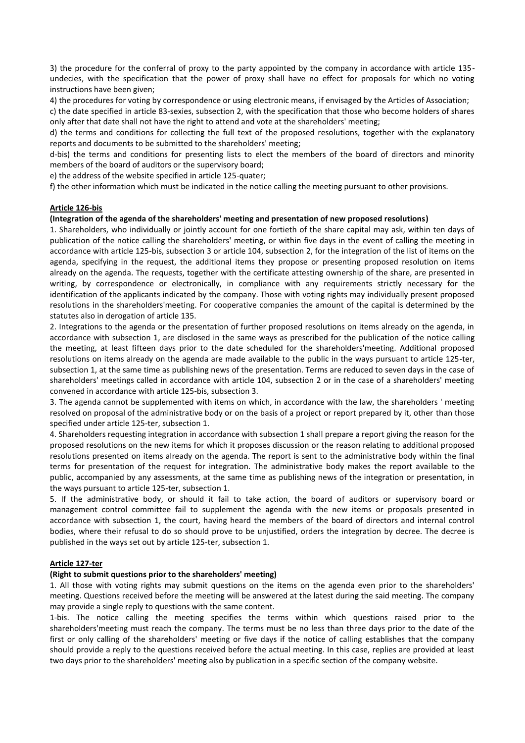3) the procedure for the conferral of proxy to the party appointed by the company in accordance with article 135 undecies, with the specification that the power of proxy shall have no effect for proposals for which no voting instructions have been given;

4) the procedures for voting by correspondence or using electronic means, if envisaged by the Articles of Association;

c) the date specified in article 83-sexies, subsection 2, with the specification that those who become holders of shares only after that date shall not have the right to attend and vote at the shareholders' meeting;

d) the terms and conditions for collecting the full text of the proposed resolutions, together with the explanatory reports and documents to be submitted to the shareholders' meeting;

d-bis) the terms and conditions for presenting lists to elect the members of the board of directors and minority members of the board of auditors or the supervisory board;

e) the address of the website specified in article 125-quater;

f) the other information which must be indicated in the notice calling the meeting pursuant to other provisions.

## **Article 126-bis**

#### **(Integration of the agenda of the shareholders' meeting and presentation of new proposed resolutions)**

1. Shareholders, who individually or jointly account for one fortieth of the share capital may ask, within ten days of publication of the notice calling the shareholders' meeting, or within five days in the event of calling the meeting in accordance with article 125-bis, subsection 3 or article 104, subsection 2, for the integration of the list of items on the agenda, specifying in the request, the additional items they propose or presenting proposed resolution on items already on the agenda. The requests, together with the certificate attesting ownership of the share, are presented in writing, by correspondence or electronically, in compliance with any requirements strictly necessary for the identification of the applicants indicated by the company. Those with voting rights may individually present proposed resolutions in the shareholders'meeting. For cooperative companies the amount of the capital is determined by the statutes also in derogation of article 135.

2. Integrations to the agenda or the presentation of further proposed resolutions on items already on the agenda, in accordance with subsection 1, are disclosed in the same ways as prescribed for the publication of the notice calling the meeting, at least fifteen days prior to the date scheduled for the shareholders'meeting. Additional proposed resolutions on items already on the agenda are made available to the public in the ways pursuant to article 125-ter, subsection 1, at the same time as publishing news of the presentation. Terms are reduced to seven days in the case of shareholders' meetings called in accordance with article 104, subsection 2 or in the case of a shareholders' meeting convened in accordance with article 125-bis, subsection 3.

3. The agenda cannot be supplemented with items on which, in accordance with the law, the shareholders ' meeting resolved on proposal of the administrative body or on the basis of a project or report prepared by it, other than those specified under article 125-ter, subsection 1.

4. Shareholders requesting integration in accordance with subsection 1 shall prepare a report giving the reason for the proposed resolutions on the new items for which it proposes discussion or the reason relating to additional proposed resolutions presented on items already on the agenda. The report is sent to the administrative body within the final terms for presentation of the request for integration. The administrative body makes the report available to the public, accompanied by any assessments, at the same time as publishing news of the integration or presentation, in the ways pursuant to article 125-ter, subsection 1.

5. If the administrative body, or should it fail to take action, the board of auditors or supervisory board or management control committee fail to supplement the agenda with the new items or proposals presented in accordance with subsection 1, the court, having heard the members of the board of directors and internal control bodies, where their refusal to do so should prove to be unjustified, orders the integration by decree. The decree is published in the ways set out by article 125-ter, subsection 1.

#### **Article 127-ter**

#### **(Right to submit questions prior to the shareholders' meeting)**

1. All those with voting rights may submit questions on the items on the agenda even prior to the shareholders' meeting. Questions received before the meeting will be answered at the latest during the said meeting. The company may provide a single reply to questions with the same content.

1-bis. The notice calling the meeting specifies the terms within which questions raised prior to the shareholders'meeting must reach the company. The terms must be no less than three days prior to the date of the first or only calling of the shareholders' meeting or five days if the notice of calling establishes that the company should provide a reply to the questions received before the actual meeting. In this case, replies are provided at least two days prior to the shareholders' meeting also by publication in a specific section of the company website.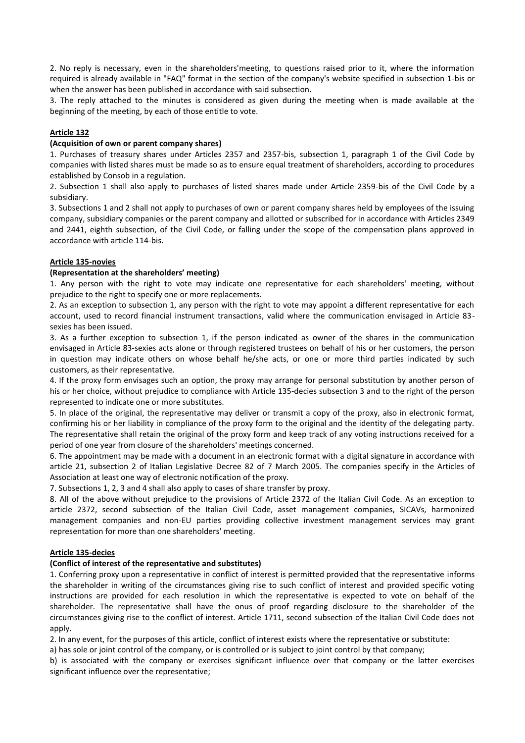2. No reply is necessary, even in the shareholders'meeting, to questions raised prior to it, where the information required is already available in "FAQ" format in the section of the company's website specified in subsection 1-bis or when the answer has been published in accordance with said subsection.

3. The reply attached to the minutes is considered as given during the meeting when is made available at the beginning of the meeting, by each of those entitle to vote.

## **Article 132**

#### **(Acquisition of own or parent company shares)**

1. Purchases of treasury shares under Articles 2357 and 2357-bis, subsection 1, paragraph 1 of the Civil Code by companies with listed shares must be made so as to ensure equal treatment of shareholders, according to procedures established by Consob in a regulation.

2. Subsection 1 shall also apply to purchases of listed shares made under Article 2359-bis of the Civil Code by a subsidiary.

3. Subsections 1 and 2 shall not apply to purchases of own or parent company shares held by employees of the issuing company, subsidiary companies or the parent company and allotted or subscribed for in accordance with Articles 2349 and 2441, eighth subsection, of the Civil Code, or falling under the scope of the compensation plans approved in accordance with article 114-bis.

## **Article 135-novies**

## **(Representation at the shareholders' meeting)**

1. Any person with the right to vote may indicate one representative for each shareholders' meeting, without prejudice to the right to specify one or more replacements.

2. As an exception to subsection 1, any person with the right to vote may appoint a different representative for each account, used to record financial instrument transactions, valid where the communication envisaged in Article 83 sexies has been issued.

3. As a further exception to subsection 1, if the person indicated as owner of the shares in the communication envisaged in Article 83-sexies acts alone or through registered trustees on behalf of his or her customers, the person in question may indicate others on whose behalf he/she acts, or one or more third parties indicated by such customers, as their representative.

4. If the proxy form envisages such an option, the proxy may arrange for personal substitution by another person of his or her choice, without prejudice to compliance with Article 135-decies subsection 3 and to the right of the person represented to indicate one or more substitutes.

5. In place of the original, the representative may deliver or transmit a copy of the proxy, also in electronic format, confirming his or her liability in compliance of the proxy form to the original and the identity of the delegating party. The representative shall retain the original of the proxy form and keep track of any voting instructions received for a period of one year from closure of the shareholders' meetings concerned.

6. The appointment may be made with a document in an electronic format with a digital signature in accordance with article 21, subsection 2 of Italian Legislative Decree 82 of 7 March 2005. The companies specify in the Articles of Association at least one way of electronic notification of the proxy.

7. Subsections 1, 2, 3 and 4 shall also apply to cases of share transfer by proxy.

8. All of the above without prejudice to the provisions of Article 2372 of the Italian Civil Code. As an exception to article 2372, second subsection of the Italian Civil Code, asset management companies, SICAVs, harmonized management companies and non-EU parties providing collective investment management services may grant representation for more than one shareholders' meeting.

## **Article 135-decies**

## **(Conflict of interest of the representative and substitutes)**

1. Conferring proxy upon a representative in conflict of interest is permitted provided that the representative informs the shareholder in writing of the circumstances giving rise to such conflict of interest and provided specific voting instructions are provided for each resolution in which the representative is expected to vote on behalf of the shareholder. The representative shall have the onus of proof regarding disclosure to the shareholder of the circumstances giving rise to the conflict of interest. Article 1711, second subsection of the Italian Civil Code does not apply.

2. In any event, for the purposes of this article, conflict of interest exists where the representative or substitute:

a) has sole or joint control of the company, or is controlled or is subject to joint control by that company;

b) is associated with the company or exercises significant influence over that company or the latter exercises significant influence over the representative;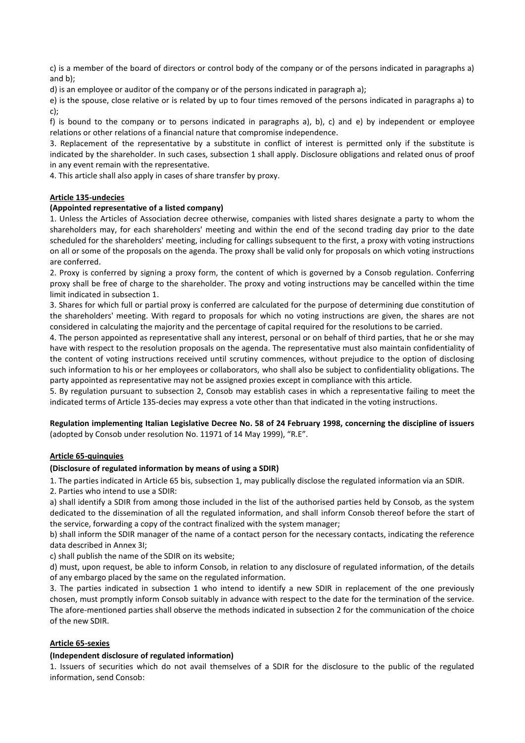c) is a member of the board of directors or control body of the company or of the persons indicated in paragraphs a) and b);

d) is an employee or auditor of the company or of the persons indicated in paragraph a);

e) is the spouse, close relative or is related by up to four times removed of the persons indicated in paragraphs a) to c);

f) is bound to the company or to persons indicated in paragraphs a), b), c) and e) by independent or employee relations or other relations of a financial nature that compromise independence.

3. Replacement of the representative by a substitute in conflict of interest is permitted only if the substitute is indicated by the shareholder. In such cases, subsection 1 shall apply. Disclosure obligations and related onus of proof in any event remain with the representative.

4. This article shall also apply in cases of share transfer by proxy.

# **Article 135-undecies**

# **(Appointed representative of a listed company)**

1. Unless the Articles of Association decree otherwise, companies with listed shares designate a party to whom the shareholders may, for each shareholders' meeting and within the end of the second trading day prior to the date scheduled for the shareholders' meeting, including for callings subsequent to the first, a proxy with voting instructions on all or some of the proposals on the agenda. The proxy shall be valid only for proposals on which voting instructions are conferred.

2. Proxy is conferred by signing a proxy form, the content of which is governed by a Consob regulation. Conferring proxy shall be free of charge to the shareholder. The proxy and voting instructions may be cancelled within the time limit indicated in subsection 1.

3. Shares for which full or partial proxy is conferred are calculated for the purpose of determining due constitution of the shareholders' meeting. With regard to proposals for which no voting instructions are given, the shares are not considered in calculating the majority and the percentage of capital required for the resolutions to be carried.

4. The person appointed as representative shall any interest, personal or on behalf of third parties, that he or she may have with respect to the resolution proposals on the agenda. The representative must also maintain confidentiality of the content of voting instructions received until scrutiny commences, without prejudice to the option of disclosing such information to his or her employees or collaborators, who shall also be subject to confidentiality obligations. The party appointed as representative may not be assigned proxies except in compliance with this article.

5. By regulation pursuant to subsection 2, Consob may establish cases in which a representative failing to meet the indicated terms of Article 135-decies may express a vote other than that indicated in the voting instructions.

# **Regulation implementing Italian Legislative Decree No. 58 of 24 February 1998, concerning the discipline of issuers**  (adopted by Consob under resolution No. 11971 of 14 May 1999), "R.E".

## **Article 65-quinquies**

## **(Disclosure of regulated information by means of using a SDIR)**

1. The parties indicated in Article 65 bis, subsection 1, may publically disclose the regulated information via an SDIR.

2. Parties who intend to use a SDIR:

a) shall identify a SDIR from among those included in the list of the authorised parties held by Consob, as the system dedicated to the dissemination of all the regulated information, and shall inform Consob thereof before the start of the service, forwarding a copy of the contract finalized with the system manager;

b) shall inform the SDIR manager of the name of a contact person for the necessary contacts, indicating the reference data described in Annex 3I;

c) shall publish the name of the SDIR on its website;

d) must, upon request, be able to inform Consob, in relation to any disclosure of regulated information, of the details of any embargo placed by the same on the regulated information.

3. The parties indicated in subsection 1 who intend to identify a new SDIR in replacement of the one previously chosen, must promptly inform Consob suitably in advance with respect to the date for the termination of the service. The afore-mentioned parties shall observe the methods indicated in subsection 2 for the communication of the choice of the new SDIR.

## **Article 65-sexies**

## **(Independent disclosure of regulated information)**

1. Issuers of securities which do not avail themselves of a SDIR for the disclosure to the public of the regulated information, send Consob: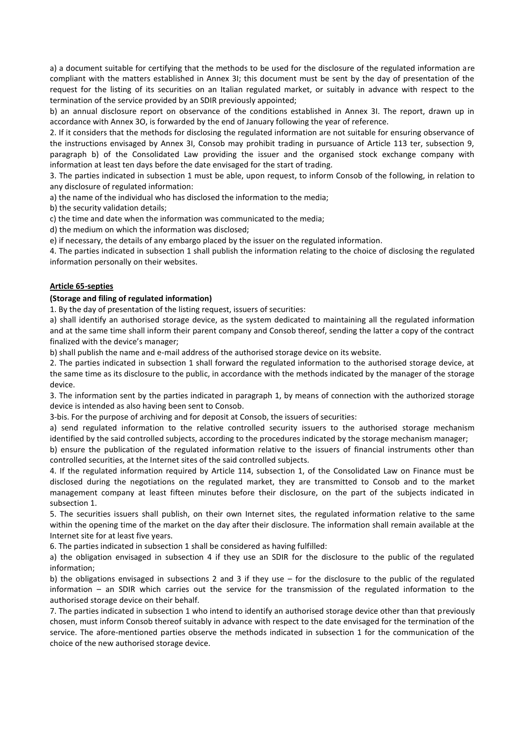a) a document suitable for certifying that the methods to be used for the disclosure of the regulated information are compliant with the matters established in Annex 3I; this document must be sent by the day of presentation of the request for the listing of its securities on an Italian regulated market, or suitably in advance with respect to the termination of the service provided by an SDIR previously appointed;

b) an annual disclosure report on observance of the conditions established in Annex 3I. The report, drawn up in accordance with Annex 3O, is forwarded by the end of January following the year of reference.

2. If it considers that the methods for disclosing the regulated information are not suitable for ensuring observance of the instructions envisaged by Annex 3I, Consob may prohibit trading in pursuance of Article 113 ter, subsection 9, paragraph b) of the Consolidated Law providing the issuer and the organised stock exchange company with information at least ten days before the date envisaged for the start of trading.

3. The parties indicated in subsection 1 must be able, upon request, to inform Consob of the following, in relation to any disclosure of regulated information:

a) the name of the individual who has disclosed the information to the media;

b) the security validation details;

c) the time and date when the information was communicated to the media;

d) the medium on which the information was disclosed;

e) if necessary, the details of any embargo placed by the issuer on the regulated information.

4. The parties indicated in subsection 1 shall publish the information relating to the choice of disclosing the regulated information personally on their websites.

# **Article 65-septies**

# **(Storage and filing of regulated information)**

1. By the day of presentation of the listing request, issuers of securities:

a) shall identify an authorised storage device, as the system dedicated to maintaining all the regulated information and at the same time shall inform their parent company and Consob thereof, sending the latter a copy of the contract finalized with the device's manager;

b) shall publish the name and e-mail address of the authorised storage device on its website.

2. The parties indicated in subsection 1 shall forward the regulated information to the authorised storage device, at the same time as its disclosure to the public, in accordance with the methods indicated by the manager of the storage device.

3. The information sent by the parties indicated in paragraph 1, by means of connection with the authorized storage device is intended as also having been sent to Consob.

3-bis. For the purpose of archiving and for deposit at Consob, the issuers of securities:

a) send regulated information to the relative controlled security issuers to the authorised storage mechanism identified by the said controlled subjects, according to the procedures indicated by the storage mechanism manager;

b) ensure the publication of the regulated information relative to the issuers of financial instruments other than controlled securities, at the Internet sites of the said controlled subjects.

4. If the regulated information required by Article 114, subsection 1, of the Consolidated Law on Finance must be disclosed during the negotiations on the regulated market, they are transmitted to Consob and to the market management company at least fifteen minutes before their disclosure, on the part of the subjects indicated in subsection 1.

5. The securities issuers shall publish, on their own Internet sites, the regulated information relative to the same within the opening time of the market on the day after their disclosure. The information shall remain available at the Internet site for at least five years.

6. The parties indicated in subsection 1 shall be considered as having fulfilled:

a) the obligation envisaged in subsection 4 if they use an SDIR for the disclosure to the public of the regulated information;

b) the obligations envisaged in subsections 2 and 3 if they use – for the disclosure to the public of the regulated information – an SDIR which carries out the service for the transmission of the regulated information to the authorised storage device on their behalf.

7. The parties indicated in subsection 1 who intend to identify an authorised storage device other than that previously chosen, must inform Consob thereof suitably in advance with respect to the date envisaged for the termination of the service. The afore-mentioned parties observe the methods indicated in subsection 1 for the communication of the choice of the new authorised storage device.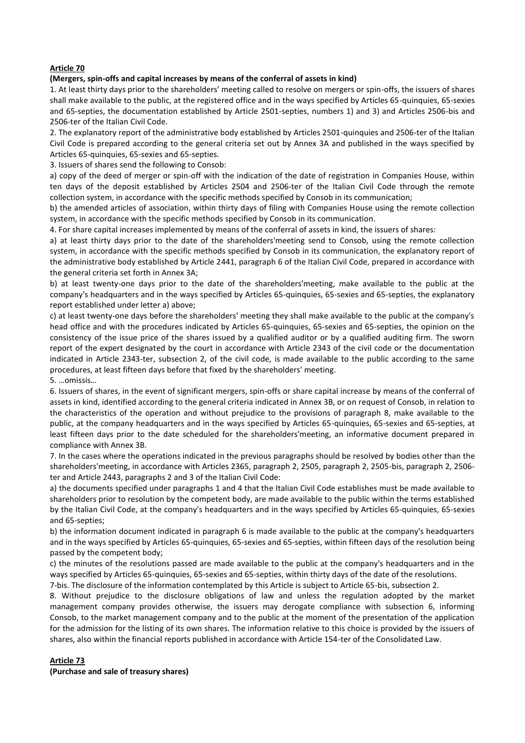## **Article 70**

## **(Mergers, spin-offs and capital increases by means of the conferral of assets in kind)**

1. At least thirty days prior to the shareholders' meeting called to resolve on mergers or spin-offs, the issuers of shares shall make available to the public, at the registered office and in the ways specified by Articles 65-quinquies, 65-sexies and 65-septies, the documentation established by Article 2501-septies, numbers 1) and 3) and Articles 2506-bis and 2506-ter of the Italian Civil Code.

2. The explanatory report of the administrative body established by Articles 2501-quinquies and 2506-ter of the Italian Civil Code is prepared according to the general criteria set out by Annex 3A and published in the ways specified by Articles 65-quinquies, 65-sexies and 65-septies.

3. Issuers of shares send the following to Consob:

a) copy of the deed of merger or spin-off with the indication of the date of registration in Companies House, within ten days of the deposit established by Articles 2504 and 2506-ter of the Italian Civil Code through the remote collection system, in accordance with the specific methods specified by Consob in its communication;

b) the amended articles of association, within thirty days of filing with Companies House using the remote collection system, in accordance with the specific methods specified by Consob in its communication.

4. For share capital increases implemented by means of the conferral of assets in kind, the issuers of shares:

a) at least thirty days prior to the date of the shareholders'meeting send to Consob, using the remote collection system, in accordance with the specific methods specified by Consob in its communication, the explanatory report of the administrative body established by Article 2441, paragraph 6 of the Italian Civil Code, prepared in accordance with the general criteria set forth in Annex 3A;

b) at least twenty-one days prior to the date of the shareholders'meeting, make available to the public at the company's headquarters and in the ways specified by Articles 65-quinquies, 65-sexies and 65-septies, the explanatory report established under letter a) above;

c) at least twenty-one days before the shareholders' meeting they shall make available to the public at the company's head office and with the procedures indicated by Articles 65-quinquies, 65-sexies and 65-septies, the opinion on the consistency of the issue price of the shares issued by a qualified auditor or by a qualified auditing firm. The sworn report of the expert designated by the court in accordance with Article 2343 of the civil code or the documentation indicated in Article 2343-ter, subsection 2, of the civil code, is made available to the public according to the same procedures, at least fifteen days before that fixed by the shareholders' meeting.

5. …omissis…

6. Issuers of shares, in the event of significant mergers, spin-offs or share capital increase by means of the conferral of assets in kind, identified according to the general criteria indicated in Annex 3B, or on request of Consob, in relation to the characteristics of the operation and without prejudice to the provisions of paragraph 8, make available to the public, at the company headquarters and in the ways specified by Articles 65-quinquies, 65-sexies and 65-septies, at least fifteen days prior to the date scheduled for the shareholders'meeting, an informative document prepared in compliance with Annex 3B.

7. In the cases where the operations indicated in the previous paragraphs should be resolved by bodies other than the shareholders'meeting, in accordance with Articles 2365, paragraph 2, 2505, paragraph 2, 2505-bis, paragraph 2, 2506 ter and Article 2443, paragraphs 2 and 3 of the Italian Civil Code:

a) the documents specified under paragraphs 1 and 4 that the Italian Civil Code establishes must be made available to shareholders prior to resolution by the competent body, are made available to the public within the terms established by the Italian Civil Code, at the company's headquarters and in the ways specified by Articles 65-quinquies, 65-sexies and 65-septies;

b) the information document indicated in paragraph 6 is made available to the public at the company's headquarters and in the ways specified by Articles 65-quinquies, 65-sexies and 65-septies, within fifteen days of the resolution being passed by the competent body;

c) the minutes of the resolutions passed are made available to the public at the company's headquarters and in the ways specified by Articles 65-quinquies, 65-sexies and 65-septies, within thirty days of the date of the resolutions.

7-bis. The disclosure of the information contemplated by this Article is subject to Article 65-bis, subsection 2.

8. Without prejudice to the disclosure obligations of law and unless the regulation adopted by the market management company provides otherwise, the issuers may derogate compliance with subsection 6, informing Consob, to the market management company and to the public at the moment of the presentation of the application for the admission for the listing of its own shares. The information relative to this choice is provided by the issuers of shares, also within the financial reports published in accordance with Article 154-ter of the Consolidated Law.

## **Article 73**

**(Purchase and sale of treasury shares)**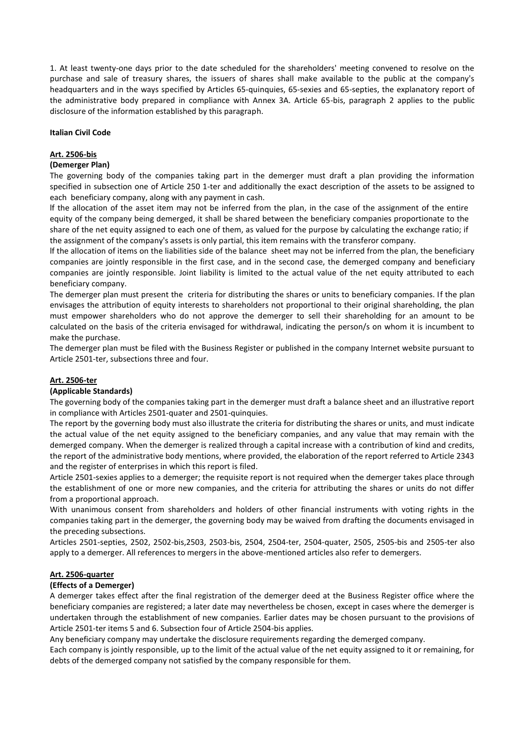1. At least twenty-one days prior to the date scheduled for the shareholders' meeting convened to resolve on the purchase and sale of treasury shares, the issuers of shares shall make available to the public at the company's headquarters and in the ways specified by Articles 65-quinquies, 65-sexies and 65-septies, the explanatory report of the administrative body prepared in compliance with Annex 3A. Article 65-bis, paragraph 2 applies to the public disclosure of the information established by this paragraph.

#### **Italian Civil Code**

#### **Art. 2506-bis**

#### **(Demerger Plan)**

The governing body of the companies taking part in the demerger must draft a plan providing the information specified in subsection one of Article 250 1-ter and additionally the exact description of the assets to be assigned to each beneficiary company, along with any payment in cash.

lf the allocation of the asset item may not be inferred from the plan, in the case of the assignment of the entire equity of the company being demerged, it shall be shared between the beneficiary companies proportionate to the share of the net equity assigned to each one of them, as valued for the purpose by calculating the exchange ratio; if the assignment of the company's assets is only partial, this item remains with the transferor company.

lf the allocation of items on the liabilities side of the balance sheet may not be inferred from the plan, the beneficiary companies are jointly responsible in the first case, and in the second case, the demerged company and beneficiary companies are jointly responsible. Joint liability is limited to the actual value of the net equity attributed to each beneficiary company.

The demerger plan must present the criteria for distributing the shares or units to beneficiary companies. If the plan envisages the attribution of equity interests to shareholders not proportional to their original shareholding, the plan must empower shareholders who do not approve the demerger to sell their shareholding for an amount to be calculated on the basis of the criteria envisaged for withdrawal, indicating the person/s on whom it is incumbent to make the purchase.

The demerger plan must be filed with the Business Register or published in the company Internet website pursuant to Article 2501-ter, subsections three and four.

## **Art. 2506-ter**

#### **(Applicable Standards)**

The governing body of the companies taking part in the demerger must draft a balance sheet and an illustrative report in compliance with Articles 2501-quater and 2501-quinquies.

The report by the governing body must also illustrate the criteria for distributing the shares or units, and must indicate the actual value of the net equity assigned to the beneficiary companies, and any value that may remain with the demerged company. When the demerger is realized through a capital increase with a contribution of kind and credits, the report of the administrative body mentions, where provided, the elaboration of the report referred to Article 2343 and the register of enterprises in which this report is filed.

Article 2501-sexies applies to a demerger; the requisite report is not required when the demerger takes place through the establishment of one or more new companies, and the criteria for attributing the shares or units do not differ from a proportional approach.

With unanimous consent from shareholders and holders of other financial instruments with voting rights in the companies taking part in the demerger, the governing body may be waived from drafting the documents envisaged in the preceding subsections.

Articles 2501-septies, 2502, 2502-bis,2503, 2503-bis, 2504, 2504-ter, 2504-quater, 2505, 2505-bis and 2505-ter also apply to a demerger. All references to mergers in the above-mentioned articles also refer to demergers.

## **Art. 2506-quarter**

#### **(Effects of a Demerger)**

A demerger takes effect after the final registration of the demerger deed at the Business Register office where the beneficiary companies are registered; a later date may nevertheless be chosen, except in cases where the demerger is undertaken through the establishment of new companies. Earlier dates may be chosen pursuant to the provisions of Article 2501-ter items 5 and 6. Subsection four of Article 2504-bis applies.

Any beneficiary company may undertake the disclosure requirements regarding the demerged company.

Each company is jointly responsible, up to the limit of the actual value of the net equity assigned to it or remaining, for debts of the demerged company not satisfied by the company responsible for them.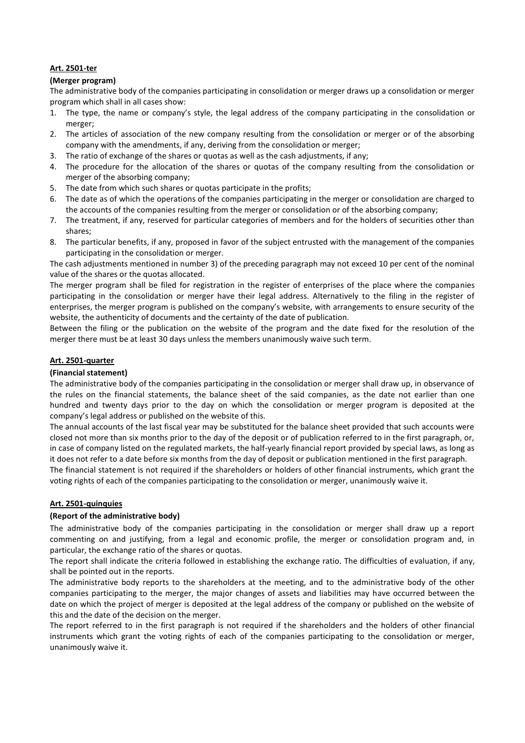# **Art. 2501-ter**

## **(Merger program)**

The administrative body of the companies participating in consolidation or merger draws up a consolidation or merger program which shall in all cases show:

- 1. The type, the name or company's style, the legal address of the company participating in the consolidation or merger;
- 2. The articles of association of the new company resulting from the consolidation or merger or of the absorbing company with the amendments, if any, deriving from the consolidation or merger;
- 3. The ratio of exchange of the shares or quotas as well as the cash adjustments, if any;
- 4. The procedure for the allocation of the shares or quotas of the company resulting from the consolidation or merger of the absorbing company;
- 5. The date from which such shares or quotas participate in the profits;
- 6. The date as of which the operations of the companies participating in the merger or consolidation are charged to the accounts of the companies resulting from the merger or consolidation or of the absorbing company;
- 7. The treatment, if any, reserved for particular categories of members and for the holders of securities other than shares;
- 8. The particular benefits, if any, proposed in favor of the subject entrusted with the management of the companies participating in the consolidation or merger.

The cash adjustments mentioned in number 3) of the preceding paragraph may not exceed 10 per cent of the nominal value of the shares or the quotas allocated.

The merger program shall be filed for registration in the register of enterprises of the place where the companies participating in the consolidation or merger have their legal address. Alternatively to the filing in the register of enterprises, the merger program is published on the company's website, with arrangements to ensure security of the website, the authenticity of documents and the certainty of the date of publication.

Between the filing or the publication on the website of the program and the date fixed for the resolution of the merger there must be at least 30 days unless the members unanimously waive such term.

# **Art. 2501-quarter**

## **(Financial statement)**

The administrative body of the companies participating in the consolidation or merger shall draw up, in observance of the rules on the financial statements, the balance sheet of the said companies, as the date not earlier than one hundred and twenty days prior to the day on which the consolidation or merger program is deposited at the company's legal address or published on the website of this.

The annual accounts of the last fiscal year may be substituted for the balance sheet provided that such accounts were closed not more than six months prior to the day of the deposit or of publication referred to in the first paragraph, or, in case of company listed on the regulated markets, the half-yearly financial report provided by special laws, as long as it does not refer to a date before six months from the day of deposit or publication mentioned in the first paragraph.

The financial statement is not required if the shareholders or holders of other financial instruments, which grant the voting rights of each of the companies participating to the consolidation or merger, unanimously waive it.

# **Art. 2501-quinquies**

## **(Report of the administrative body)**

The administrative body of the companies participating in the consolidation or merger shall draw up a report commenting on and justifying, from a legal and economic profile, the merger or consolidation program and, in particular, the exchange ratio of the shares or quotas.

The report shall indicate the criteria followed in establishing the exchange ratio. The difficulties of evaluation, if any, shall be pointed out in the reports.

The administrative body reports to the shareholders at the meeting, and to the administrative body of the other companies participating to the merger, the major changes of assets and liabilities may have occurred between the date on which the project of merger is deposited at the legal address of the company or published on the website of this and the date of the decision on the merger.

The report referred to in the first paragraph is not required if the shareholders and the holders of other financial instruments which grant the voting rights of each of the companies participating to the consolidation or merger, unanimously waive it.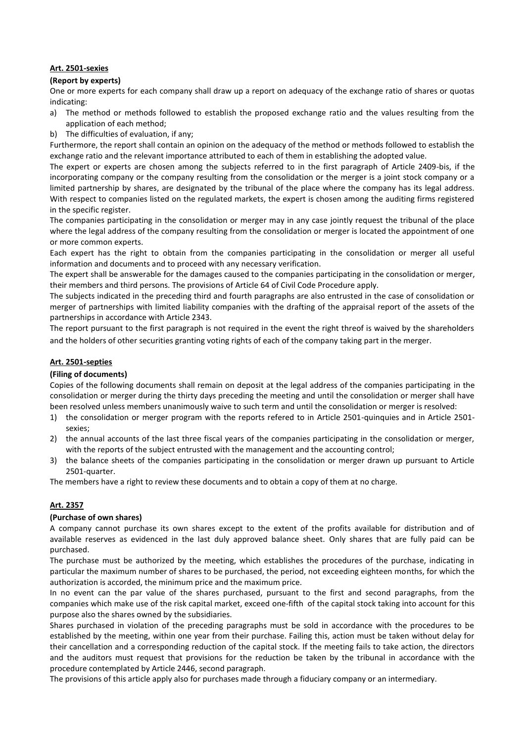## **Art. 2501-sexies**

## **(Report by experts)**

One or more experts for each company shall draw up a report on adequacy of the exchange ratio of shares or quotas indicating:

- a) The method or methods followed to establish the proposed exchange ratio and the values resulting from the application of each method;
- b) The difficulties of evaluation, if any;

Furthermore, the report shall contain an opinion on the adequacy of the method or methods followed to establish the exchange ratio and the relevant importance attributed to each of them in establishing the adopted value.

The expert or experts are chosen among the subjects referred to in the first paragraph of Article 2409-bis, if the incorporating company or the company resulting from the consolidation or the merger is a joint stock company or a limited partnership by shares, are designated by the tribunal of the place where the company has its legal address. With respect to companies listed on the regulated markets, the expert is chosen among the auditing firms registered in the specific register.

The companies participating in the consolidation or merger may in any case jointly request the tribunal of the place where the legal address of the company resulting from the consolidation or merger is located the appointment of one or more common experts.

Each expert has the right to obtain from the companies participating in the consolidation or merger all useful information and documents and to proceed with any necessary verification.

The expert shall be answerable for the damages caused to the companies participating in the consolidation or merger, their members and third persons. The provisions of Article 64 of Civil Code Procedure apply.

The subjects indicated in the preceding third and fourth paragraphs are also entrusted in the case of consolidation or merger of partnerships with limited liability companies with the drafting of the appraisal report of the assets of the partnerships in accordance with Article 2343.

The report pursuant to the first paragraph is not required in the event the right threof is waived by the shareholders and the holders of other securities granting voting rights of each of the company taking part in the merger.

# **Art. 2501-septies**

# **(Filing of documents)**

Copies of the following documents shall remain on deposit at the legal address of the companies participating in the consolidation or merger during the thirty days preceding the meeting and until the consolidation or merger shall have been resolved unless members unanimously waive to such term and until the consolidation or merger is resolved:

- 1) the consolidation or merger program with the reports refered to in Article 2501-quinquies and in Article 2501 sexies;
- 2) the annual accounts of the last three fiscal years of the companies participating in the consolidation or merger, with the reports of the subject entrusted with the management and the accounting control;
- 3) the balance sheets of the companies participating in the consolidation or merger drawn up pursuant to Article 2501-quarter.

The members have a right to review these documents and to obtain a copy of them at no charge.

# **Art. 2357**

## **(Purchase of own shares)**

A company cannot purchase its own shares except to the extent of the profits available for distribution and of available reserves as evidenced in the last duly approved balance sheet. Only shares that are fully paid can be purchased.

The purchase must be authorized by the meeting, which establishes the procedures of the purchase, indicating in particular the maximum number of shares to be purchased, the period, not exceeding eighteen months, for which the authorization is accorded, the minimum price and the maximum price.

In no event can the par value of the shares purchased, pursuant to the first and second paragraphs, from the companies which make use of the risk capital market, exceed one-fifth of the capital stock taking into account for this purpose also the shares owned by the subsidiaries.

Shares purchased in violation of the preceding paragraphs must be sold in accordance with the procedures to be established by the meeting, within one year from their purchase. Failing this, action must be taken without delay for their cancellation and a corresponding reduction of the capital stock. If the meeting fails to take action, the directors and the auditors must request that provisions for the reduction be taken by the tribunal in accordance with the procedure contemplated by Article 2446, second paragraph.

The provisions of this article apply also for purchases made through a fiduciary company or an intermediary.